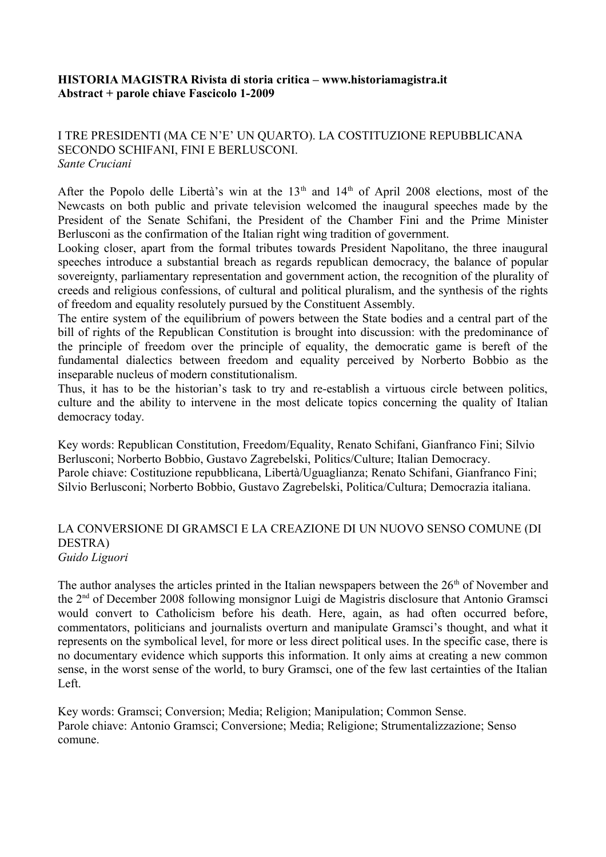## **HISTORIA MAGISTRA Rivista di storia critica – www.historiamagistra.it Abstract + parole chiave Fascicolo 1-2009**

# I TRE PRESIDENTI (MA CE N'E' UN QUARTO). LA COSTITUZIONE REPUBBLICANA SECONDO SCHIFANI, FINI E BERLUSCONI. *Sante Cruciani*

After the Popolo delle Libertà's win at the 13<sup>th</sup> and 14<sup>th</sup> of April 2008 elections, most of the Newcasts on both public and private television welcomed the inaugural speeches made by the President of the Senate Schifani, the President of the Chamber Fini and the Prime Minister Berlusconi as the confirmation of the Italian right wing tradition of government.

Looking closer, apart from the formal tributes towards President Napolitano, the three inaugural speeches introduce a substantial breach as regards republican democracy, the balance of popular sovereignty, parliamentary representation and government action, the recognition of the plurality of creeds and religious confessions, of cultural and political pluralism, and the synthesis of the rights of freedom and equality resolutely pursued by the Constituent Assembly.

The entire system of the equilibrium of powers between the State bodies and a central part of the bill of rights of the Republican Constitution is brought into discussion: with the predominance of the principle of freedom over the principle of equality, the democratic game is bereft of the fundamental dialectics between freedom and equality perceived by Norberto Bobbio as the inseparable nucleus of modern constitutionalism.

Thus, it has to be the historian's task to try and re-establish a virtuous circle between politics, culture and the ability to intervene in the most delicate topics concerning the quality of Italian democracy today.

Key words: Republican Constitution, Freedom/Equality, Renato Schifani, Gianfranco Fini; Silvio Berlusconi; Norberto Bobbio, Gustavo Zagrebelski, Politics/Culture; Italian Democracy. Parole chiave: Costituzione repubblicana, Libertà/Uguaglianza; Renato Schifani, Gianfranco Fini; Silvio Berlusconi; Norberto Bobbio, Gustavo Zagrebelski, Politica/Cultura; Democrazia italiana.

### LA CONVERSIONE DI GRAMSCI E LA CREAZIONE DI UN NUOVO SENSO COMUNE (DI DESTRA) *Guido Liguori*

The author analyses the articles printed in the Italian newspapers between the  $26<sup>th</sup>$  of November and the 2nd of December 2008 following monsignor Luigi de Magistris disclosure that Antonio Gramsci would convert to Catholicism before his death. Here, again, as had often occurred before, commentators, politicians and journalists overturn and manipulate Gramsci's thought, and what it represents on the symbolical level, for more or less direct political uses. In the specific case, there is no documentary evidence which supports this information. It only aims at creating a new common sense, in the worst sense of the world, to bury Gramsci, one of the few last certainties of the Italian Left.

Key words: Gramsci; Conversion; Media; Religion; Manipulation; Common Sense. Parole chiave: Antonio Gramsci; Conversione; Media; Religione; Strumentalizzazione; Senso comune.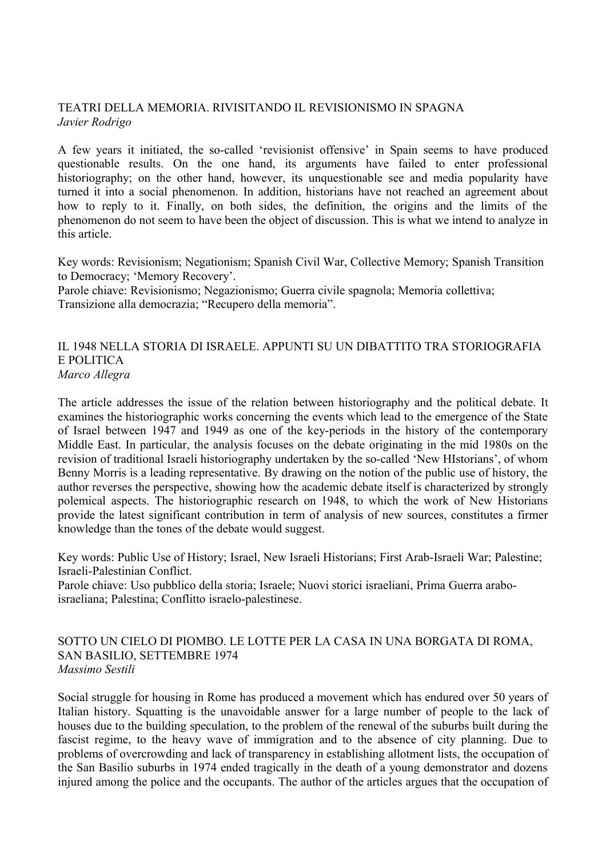# TEATRI DELLA MEMORIA. RIVISITANDO IL REVISIONISMO IN SPAGNA *Javier Rodrigo*

A few years it initiated, the so-called 'revisionist offensive' in Spain seems to have produced questionable results. On the one hand, its arguments have failed to enter professional historiography; on the other hand, however, its unquestionable see and media popularity have turned it into a social phenomenon. In addition, historians have not reached an agreement about how to reply to it. Finally, on both sides, the definition, the origins and the limits of the phenomenon do not seem to have been the object of discussion. This is what we intend to analyze in this article.

Key words: Revisionism; Negationism; Spanish Civil War, Collective Memory; Spanish Transition to Democracy; 'Memory Recovery'.

Parole chiave: Revisionismo; Negazionismo; Guerra civile spagnola; Memoria collettiva; Transizione alla democrazia; "Recupero della memoria".

### IL 1948 NELLA STORIA DI ISRAELE. APPUNTI SU UN DIBATTITO TRA STORIOGRAFIA E POLITICA *Marco Allegra*

The article addresses the issue of the relation between historiography and the political debate. It examines the historiographic works concerning the events which lead to the emergence of the State of Israel between 1947 and 1949 as one of the key-periods in the history of the contemporary Middle East. In particular, the analysis focuses on the debate originating in the mid 1980s on the revision of traditional Israeli historiography undertaken by the so-called 'New HIstorians', of whom Benny Morris is a leading representative. By drawing on the notion of the public use of history, the author reverses the perspective, showing how the academic debate itself is characterized by strongly polemical aspects. The historiographic research on 1948, to which the work of New Historians provide the latest significant contribution in term of analysis of new sources, constitutes a firmer knowledge than the tones of the debate would suggest.

Key words: Public Use of History; Israel, New Israeli Historians; First Arab-Israeli War; Palestine; Israeli-Palestinian Conflict.

Parole chiave: Uso pubblico della storia; Israele; Nuovi storici israeliani, Prima Guerra araboisraeliana; Palestina; Conflitto israelo-palestinese.

### SOTTO UN CIELO DI PIOMBO. LE LOTTE PER LA CASA IN UNA BORGATA DI ROMA, SAN BASILIO, SETTEMBRE 1974 *Massimo Sestili*

Social struggle for housing in Rome has produced a movement which has endured over 50 years of Italian history. Squatting is the unavoidable answer for a large number of people to the lack of houses due to the building speculation, to the problem of the renewal of the suburbs built during the fascist regime, to the heavy wave of immigration and to the absence of city planning. Due to problems of overcrowding and lack of transparency in establishing allotment lists, the occupation of the San Basilio suburbs in 1974 ended tragically in the death of a young demonstrator and dozens injured among the police and the occupants. The author of the articles argues that the occupation of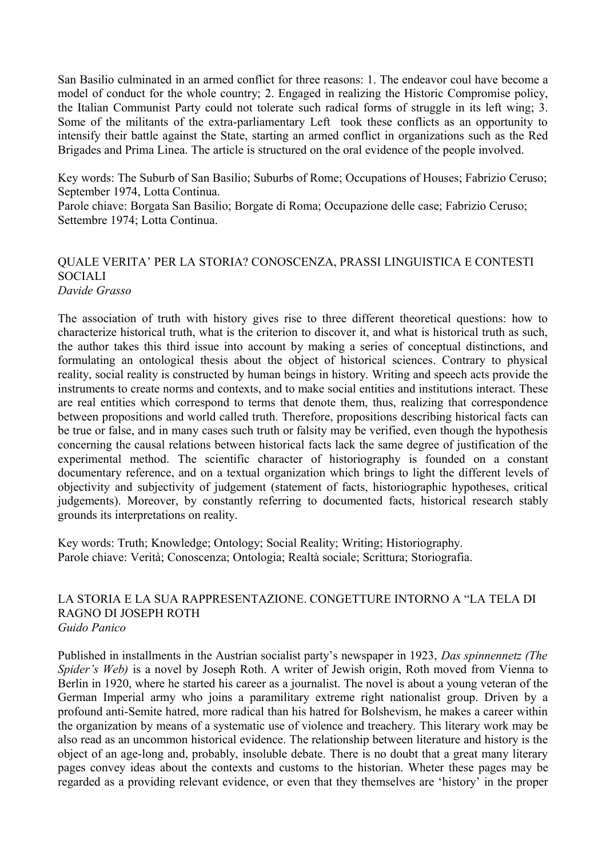San Basilio culminated in an armed conflict for three reasons: 1. The endeavor coul have become a model of conduct for the whole country; 2. Engaged in realizing the Historic Compromise policy, the Italian Communist Party could not tolerate such radical forms of struggle in its left wing; 3. Some of the militants of the extra-parliamentary Left took these conflicts as an opportunity to intensify their battle against the State, starting an armed conflict in organizations such as the Red Brigades and Prima Linea. The article is structured on the oral evidence of the people involved.

Key words: The Suburb of San Basilio; Suburbs of Rome; Occupations of Houses; Fabrizio Ceruso; September 1974, Lotta Continua.

Parole chiave: Borgata San Basilio; Borgate di Roma; Occupazione delle case; Fabrizio Ceruso; Settembre 1974; Lotta Continua.

### QUALE VERITA' PER LA STORIA? CONOSCENZA, PRASSI LINGUISTICA E CONTESTI **SOCIALI** *Davide Grasso*

The association of truth with history gives rise to three different theoretical questions: how to characterize historical truth, what is the criterion to discover it, and what is historical truth as such, the author takes this third issue into account by making a series of conceptual distinctions, and formulating an ontological thesis about the object of historical sciences. Contrary to physical reality, social reality is constructed by human beings in history. Writing and speech acts provide the instruments to create norms and contexts, and to make social entities and institutions interact. These are real entities which correspond to terms that denote them, thus, realizing that correspondence between propositions and world called truth. Therefore, propositions describing historical facts can be true or false, and in many cases such truth or falsity may be verified, even though the hypothesis concerning the causal relations between historical facts lack the same degree of justification of the experimental method. The scientific character of historiography is founded on a constant documentary reference, and on a textual organization which brings to light the different levels of objectivity and subjectivity of judgement (statement of facts, historiographic hypotheses, critical judgements). Moreover, by constantly referring to documented facts, historical research stably grounds its interpretations on reality.

Key words: Truth; Knowledge; Ontology; Social Reality; Writing; Historiography. Parole chiave: Verità; Conoscenza; Ontologia; Realtà sociale; Scrittura; Storiografia.

#### LA STORIA E LA SUA RAPPRESENTAZIONE. CONGETTURE INTORNO A "LA TELA DI RAGNO DI JOSEPH ROTH *Guido Panico*

Published in installments in the Austrian socialist party's newspaper in 1923, *Das spinnennetz (The Spider's Web)* is a novel by Joseph Roth. A writer of Jewish origin, Roth moved from Vienna to Berlin in 1920, where he started his career as a journalist. The novel is about a young veteran of the German Imperial army who joins a paramilitary extreme right nationalist group. Driven by a profound anti-Semite hatred, more radical than his hatred for Bolshevism, he makes a career within the organization by means of a systematic use of violence and treachery. This literary work may be also read as an uncommon historical evidence. The relationship between literature and history is the object of an age-long and, probably, insoluble debate. There is no doubt that a great many literary pages convey ideas about the contexts and customs to the historian. Wheter these pages may be regarded as a providing relevant evidence, or even that they themselves are 'history' in the proper